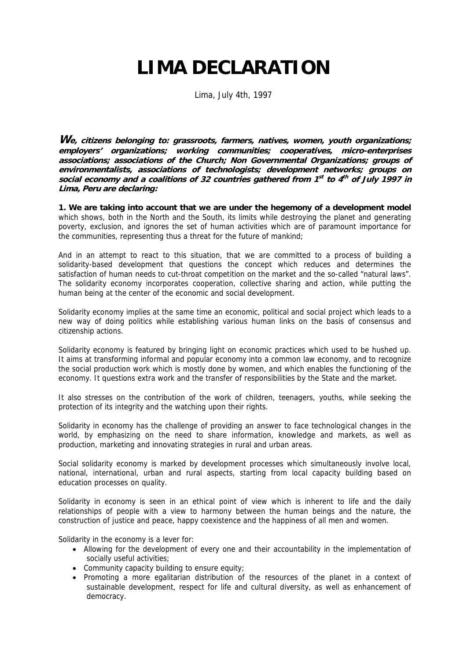## **LIMA DECLARATION**

Lima, July 4th, 1997

**We, citizens belonging to: grassroots, farmers, natives, women, youth organizations; employers' organizations; working communities; cooperatives, micro-enterprises associations; associations of the Church; Non Governmental Organizations; groups of environmentalists, associations of technologists; development networks; groups on social economy and a coalitions of 32 countries gathered from 1st to 4th of July 1997 in Lima, Peru are declaring:**

**1. We are taking into account that we are under the hegemony of a development model**  which shows, both in the North and the South, its limits while destroying the planet and generating poverty, exclusion, and ignores the set of human activities which are of paramount importance for the communities, representing thus a threat for the future of mankind;

And in an attempt to react to this situation, that we are committed to a process of building a solidarity-based development that questions the concept which reduces and determines the satisfaction of human needs to cut-throat competition on the market and the so-called "natural laws". The solidarity economy incorporates cooperation, collective sharing and action, while putting the human being at the center of the economic and social development.

Solidarity economy implies at the same time an economic, political and social project which leads to a new way of doing politics while establishing various human links on the basis of consensus and citizenship actions.

Solidarity economy is featured by bringing light on economic practices which used to be hushed up. It aims at transforming informal and popular economy into a common law economy, and to recognize the social production work which is mostly done by women, and which enables the functioning of the economy. It questions extra work and the transfer of responsibilities by the State and the market.

It also stresses on the contribution of the work of children, teenagers, youths, while seeking the protection of its integrity and the watching upon their rights.

Solidarity in economy has the challenge of providing an answer to face technological changes in the world, by emphasizing on the need to share information, knowledge and markets, as well as production, marketing and innovating strategies in rural and urban areas.

Social solidarity economy is marked by development processes which simultaneously involve local, national, international, urban and rural aspects, starting from local capacity building based on education processes on quality.

Solidarity in economy is seen in an ethical point of view which is inherent to life and the daily relationships of people with a view to harmony between the human beings and the nature, the construction of justice and peace, happy coexistence and the happiness of all men and women.

Solidarity in the economy is a lever for:

- Allowing for the development of every one and their accountability in the implementation of socially useful activities;
- Community capacity building to ensure equity;
- Promoting a more egalitarian distribution of the resources of the planet in a context of sustainable development, respect for life and cultural diversity, as well as enhancement of democracy.